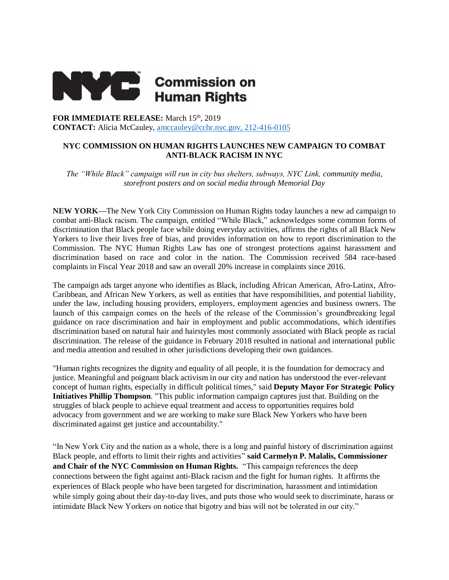

**FOR IMMEDIATE RELEASE:** March 15th, 2019 **CONTACT:** Alicia McCauley, [amccauley@cchr.nyc.gov,](mailto:amccauley@cchr.nyc.gov) 212-416-0105

## **NYC COMMISSION ON HUMAN RIGHTS LAUNCHES NEW CAMPAIGN TO COMBAT ANTI-BLACK RACISM IN NYC**

*The "While Black" campaign will run in city bus shelters, subways, NYC Link, community media, storefront posters and on social media through Memorial Day*

**NEW YORK—**The New York City Commission on Human Rights today launches a new ad campaign to combat anti-Black racism. The campaign, entitled "While Black," acknowledges some common forms of discrimination that Black people face while doing everyday activities, affirms the rights of all Black New Yorkers to live their lives free of bias, and provides information on how to report discrimination to the Commission. The NYC Human Rights Law has one of strongest protections against harassment and discrimination based on race and color in the nation. The Commission received 584 race-based complaints in Fiscal Year 2018 and saw an overall 20% increase in complaints since 2016.

The campaign ads target anyone who identifies as Black, including African American, Afro-Latinx, Afro-Caribbean, and African New Yorkers, as well as entities that have responsibilities, and potential liability, under the law, including housing providers, employers, employment agencies and business owners. The launch of this campaign comes on the heels of the release of the Commission's groundbreaking legal guidance on race discrimination and hair in employment and public accommodations, which identifies discrimination based on natural hair and hairstyles most commonly associated with Black people as racial discrimination. The release of the guidance in February 2018 resulted in national and international public and media attention and resulted in other jurisdictions developing their own guidances.

"Human rights recognizes the dignity and equality of all people, it is the foundation for democracy and justice. Meaningful and poignant black activism in our city and nation has understood the ever-relevant concept of human rights, especially in difficult political times," said **Deputy Mayor For Strategic Policy Initiatives Phillip Thompson**. "This public information campaign captures just that. Building on the struggles of black people to achieve equal treatment and access to opportunities requires bold advocacy from government and we are working to make sure Black New Yorkers who have been discriminated against get justice and accountability."

"In New York City and the nation as a whole, there is a long and painful history of discrimination against Black people, and efforts to limit their rights and activities" **said Carmelyn P. Malalis, Commissioner and Chair of the NYC Commission on Human Rights.** "This campaign references the deep connections between the fight against anti-Black racism and the fight for human rights. It affirms the experiences of Black people who have been targeted for discrimination, harassment and intimidation while simply going about their day-to-day lives, and puts those who would seek to discriminate, harass or intimidate Black New Yorkers on notice that bigotry and bias will not be tolerated in our city."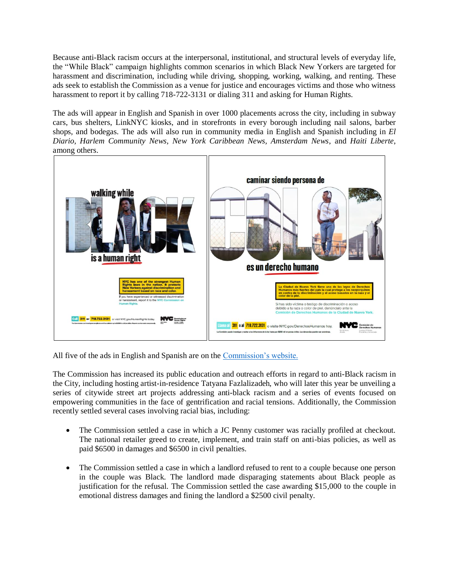Because anti-Black racism occurs at the interpersonal, institutional, and structural levels of everyday life, the "While Black" campaign highlights common scenarios in which Black New Yorkers are targeted for harassment and discrimination, including while driving, shopping, working, walking, and renting. These ads seek to establish the Commission as a venue for justice and encourages victims and those who witness harassment to report it by calling 718-722-3131 or dialing 311 and asking for Human Rights.

The ads will appear in English and Spanish in over 1000 placements across the city, including in subway cars, bus shelters, LinkNYC kiosks, and in storefronts in every borough including nail salons, barber shops, and bodegas. The ads will also run in community media in English and Spanish including in *El Diario, Harlem Community News, New York Caribbean News, Amsterdam News*, and *Haiti Liberte*, among others.



All five of the ads in English and Spanish are on the [Commission's website.](https://www1.nyc.gov/site/cchr/media/while-black-nyc.page)

The Commission has increased its public education and outreach efforts in regard to anti-Black racism in the City, including hosting artist-in-residence Tatyana Fazlalizadeh, who will later this year be unveiling a series of citywide street art projects addressing anti-black racism and a series of events focused on empowering communities in the face of gentrification and racial tensions. Additionally, the Commission recently settled several cases involving racial bias, including:

- The Commission settled a case in which a JC Penny customer was racially profiled at checkout. The national retailer greed to create, implement, and train staff on anti-bias policies, as well as paid \$6500 in damages and \$6500 in civil penalties.
- The Commission settled a case in which a landlord refused to rent to a couple because one person in the couple was Black. The landlord made disparaging statements about Black people as justification for the refusal. The Commission settled the case awarding \$15,000 to the couple in emotional distress damages and fining the landlord a \$2500 civil penalty.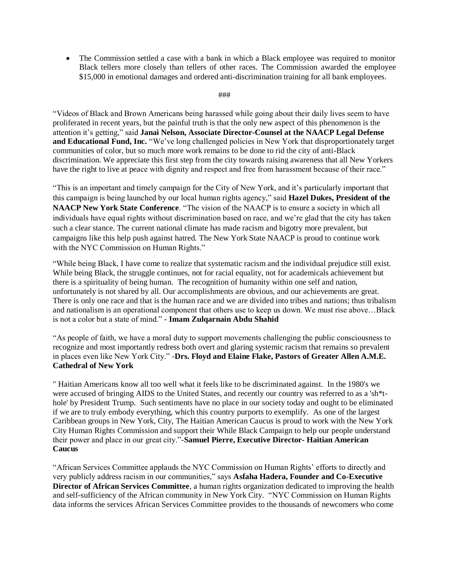• The Commission settled a case with a bank in which a Black employee was required to monitor Black tellers more closely than tellers of other races. The Commission awarded the employee \$15,000 in emotional damages and ordered anti-discrimination training for all bank employees.

## ###

"Videos of Black and Brown Americans being harassed while going about their daily lives seem to have proliferated in recent years, but the painful truth is that the only new aspect of this phenomenon is the attention it's getting," said **Janai Nelson, Associate Director-Counsel at the NAACP Legal Defense and Educational Fund, Inc.** "We've long challenged policies in New York that disproportionately target communities of color, but so much more work remains to be done to rid the city of anti-Black discrimination. We appreciate this first step from the city towards raising awareness that all New Yorkers have the right to live at peace with dignity and respect and free from harassment because of their race."

"This is an important and timely campaign for the City of New York, and it's particularly important that this campaign is being launched by our local human rights agency," said **Hazel Dukes, President of the NAACP New York State Conference**. "The vision of the NAACP is to ensure a society in which all individuals have equal rights without discrimination based on race, and we're glad that the city has taken such a clear stance. The current national climate has made racism and bigotry more prevalent, but campaigns like this help push against hatred. The New York State NAACP is proud to continue work with the NYC Commission on Human Rights."

"While being Black, I have come to realize that systematic racism and the individual prejudice still exist. While being Black, the struggle continues, not for racial equality, not for academicals achievement but there is a spirituality of being human. The recognition of humanity within one self and nation, unfortunately is not shared by all. Our accomplishments are obvious, and our achievements are great. There is only one race and that is the human race and we are divided into tribes and nations; thus tribalism and nationalism is an operational component that others use to keep us down. We must rise above…Black is not a color but a state of mind." - **Imam Zulqarnain Abdu Shahid**

"As people of faith, we have a moral duty to support movements challenging the public consciousness to recognize and most importantly redress both overt and glaring systemic racism that remains so prevalent in places even like New York City." -**Drs. Floyd and Elaine Flake, Pastors of Greater Allen A.M.E. Cathedral of New York**

" Haitian Americans know all too well what it feels like to be discriminated against. In the 1980's we were accused of bringing AIDS to the United States, and recently our country was referred to as a 'sh\*thole' by President Trump. Such sentiments have no place in our society today and ought to be eliminated if we are to truly embody everything, which this country purports to exemplify. As one of the largest Caribbean groups in New York, City, The Haitian American Caucus is proud to work with the New York City Human Rights Commission and support their While Black Campaign to help our people understand their power and place in our great city."-**Samuel Pierre, Executive Director- Haitian American Caucus**

"African Services Committee applauds the NYC Commission on Human Rights' efforts to directly and very publicly address racism in our communities," says **Asfaha Hadera, Founder and Co-Executive Director of African Services Committee**, a human rights organization dedicated to improving the health and self-sufficiency of the African community in New York City. "NYC Commission on Human Rights data informs the services African Services Committee provides to the thousands of newcomers who come